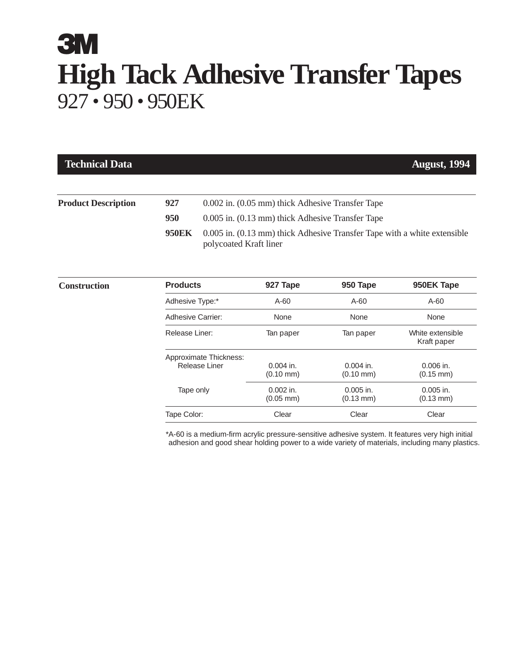# **3M High Tack Adhesive Transfer Tapes** 927 • 950 • 950EK

### **Technical Data** August, 1994

| <b>Product Description</b> | 927   | 0.002 in. (0.05 mm) thick Adhesive Transfer Tape                                                               |
|----------------------------|-------|----------------------------------------------------------------------------------------------------------------|
|                            | 950   | 0.005 in. (0.13 mm) thick Adhesive Transfer Tape                                                               |
|                            | 950EK | $0.005$ in. $(0.13 \text{ mm})$ thick Adhesive Transfer Tape with a white extensible<br>polycoated Kraft liner |

| <b>Construction</b> | <b>Products</b>                         | 927 Tape                           | 950 Tape                           | 950EK Tape                         |
|---------------------|-----------------------------------------|------------------------------------|------------------------------------|------------------------------------|
|                     | Adhesive Type:*                         | $A-60$                             | $A-60$                             | $A-60$                             |
|                     | <b>Adhesive Carrier:</b>                | None                               | None                               | None                               |
|                     | Release Liner:                          | Tan paper                          | Tan paper                          | White extensible<br>Kraft paper    |
|                     | Approximate Thickness:<br>Release Liner | $0.004$ in.<br>$(0.10 \text{ mm})$ | $0.004$ in.<br>$(0.10 \text{ mm})$ | $0.006$ in.<br>$(0.15$ mm $)$      |
|                     | Tape only                               | $0.002$ in.<br>$(0.05$ mm $)$      | $0.005$ in.<br>$(0.13 \text{ mm})$ | $0.005$ in.<br>$(0.13 \text{ mm})$ |
|                     | Tape Color:                             | Clear                              | Clear                              | Clear                              |
|                     |                                         |                                    |                                    |                                    |

\*A-60 is a medium-firm acrylic pressure-sensitive adhesive system. It features very high initial adhesion and good shear holding power to a wide variety of materials, including many plastics.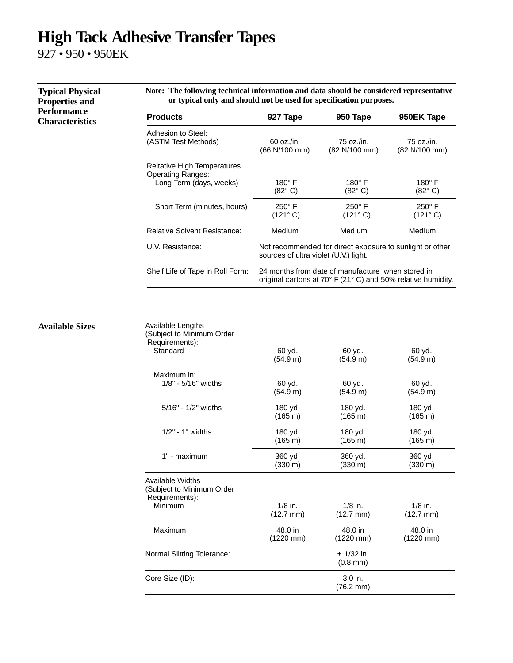## **High Tack Adhesive Transfer Tapes**

927 • 950 • 950EK

**Typical Physical Properties and Performance Characteristics**

#### **Note: The following technical information and data should be considered representative or typical only and should not be used for specification purposes.**

| <b>Products</b>                                                                    | 927 Tape                                                                                                          | 950 Tape                                 | 950EK Tape                               |
|------------------------------------------------------------------------------------|-------------------------------------------------------------------------------------------------------------------|------------------------------------------|------------------------------------------|
| Adhesion to Steel:<br>(ASTM Test Methods)                                          | $60$ oz./in.<br>(66 N/100 mm)                                                                                     | 75 oz./in.<br>(82 N/100 mm)              | 75 oz./in.<br>(82 N/100 mm)              |
| Reltative High Temperatures<br><b>Operating Ranges:</b><br>Long Term (days, weeks) | $180^\circ$ F<br>$(82^{\circ} \text{C})$                                                                          | $180^\circ$ F<br>$(82^{\circ} \text{C})$ | $180^\circ$ F<br>$(82^{\circ} \text{C})$ |
| Short Term (minutes, hours)                                                        | $250^\circ$ F<br>(121° C)                                                                                         | $250^\circ$ F<br>(121° C)                | $250^\circ$ F<br>(121° C)                |
| <b>Relative Solvent Resistance:</b>                                                | <b>Medium</b>                                                                                                     | Medium                                   | Medium                                   |
| U.V. Resistance:                                                                   | Not recommended for direct exposure to sunlight or other<br>sources of ultra violet (U.V.) light.                 |                                          |                                          |
| Shelf Life of Tape in Roll Form:                                                   | 24 months from date of manufacture when stored in<br>original cartons at 70° F (21° C) and 50% relative humidity. |                                          |                                          |

#### **Available Sizes**

| Available Lengths<br>(Subject to Minimum Order                         |                       |                                     |                       |
|------------------------------------------------------------------------|-----------------------|-------------------------------------|-----------------------|
| Requirements):                                                         | 60 yd.                | 60 yd.                              | 60 yd.                |
| Standard                                                               | (54.9 m)              | (54.9 m)                            | (54.9 m)              |
| Maximum in:                                                            | 60 yd.                | 60 yd.                              | 60 yd.                |
| 1/8" - 5/16" widths                                                    | (54.9 m)              | (54.9 m)                            | (54.9 m)              |
| 5/16" - 1/2" widths                                                    | 180 yd.               | 180 yd.                             | 180 yd.               |
|                                                                        | $(165 \text{ m})$     | $(165 \text{ m})$                   | $(165 \text{ m})$     |
| $1/2" - 1"$ widths                                                     | 180 yd.               | 180 yd.                             | 180 yd.               |
|                                                                        | (165 m)               | $(165 \text{ m})$                   | $(165 \text{ m})$     |
| 1" - maximum                                                           | 360 yd.               | 360 yd.                             | 360 yd.               |
|                                                                        | $(330 \text{ m})$     | (330 m)                             | (330 m)               |
| <b>Available Widths</b><br>(Subject to Minimum Order<br>Requirements): |                       |                                     |                       |
| Minimum                                                                | $1/8$ in.             | $1/8$ in.                           | $1/8$ in.             |
|                                                                        | $(12.7 \, \text{mm})$ | $(12.7 \text{ mm})$                 | $(12.7 \text{ mm})$   |
| Maximum                                                                | 48.0 in               | 48.0 in                             | 48.0 in               |
|                                                                        | $(1220 \, \text{mm})$ | $(1220 \, \text{mm})$               | $(1220 \, \text{mm})$ |
| Normal Slitting Tolerance:                                             |                       | $+1/32$ in.<br>$(0.8 \, \text{mm})$ |                       |
| Core Size (ID):                                                        |                       | $3.0$ in.<br>$(76.2 \text{ mm})$    |                       |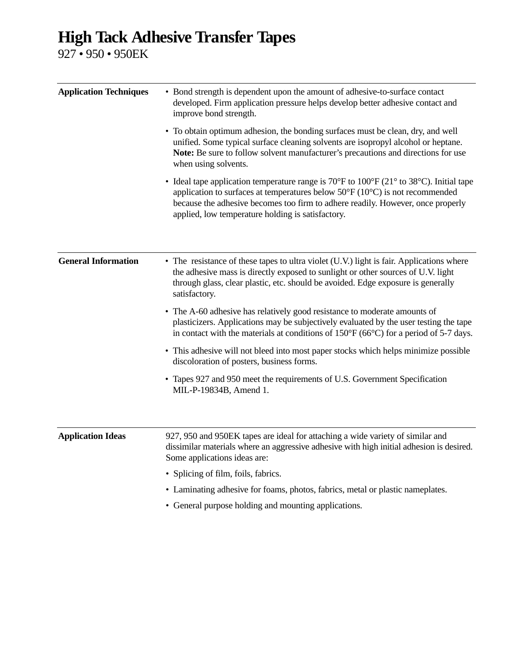### **High Tack Adhesive Transfer Tapes**

927 • 950 • 950EK

| <b>Application Techniques</b> | • Bond strength is dependent upon the amount of adhesive-to-surface contact<br>developed. Firm application pressure helps develop better adhesive contact and<br>improve bond strength.                                                                                                                                                                  |  |  |  |
|-------------------------------|----------------------------------------------------------------------------------------------------------------------------------------------------------------------------------------------------------------------------------------------------------------------------------------------------------------------------------------------------------|--|--|--|
|                               | • To obtain optimum adhesion, the bonding surfaces must be clean, dry, and well<br>unified. Some typical surface cleaning solvents are isopropyl alcohol or heptane.<br>Note: Be sure to follow solvent manufacturer's precautions and directions for use<br>when using solvents.                                                                        |  |  |  |
|                               | • Ideal tape application temperature range is $70^{\circ}$ F to $100^{\circ}$ F (21° to 38°C). Initial tape<br>application to surfaces at temperatures below $50^{\circ}$ F (10 $^{\circ}$ C) is not recommended<br>because the adhesive becomes too firm to adhere readily. However, once properly<br>applied, low temperature holding is satisfactory. |  |  |  |
|                               |                                                                                                                                                                                                                                                                                                                                                          |  |  |  |
| <b>General Information</b>    | • The resistance of these tapes to ultra violet (U.V.) light is fair. Applications where<br>the adhesive mass is directly exposed to sunlight or other sources of U.V. light<br>through glass, clear plastic, etc. should be avoided. Edge exposure is generally<br>satisfactory.                                                                        |  |  |  |
|                               | • The A-60 adhesive has relatively good resistance to moderate amounts of<br>plasticizers. Applications may be subjectively evaluated by the user testing the tape<br>in contact with the materials at conditions of $150^{\circ}F (66^{\circ}C)$ for a period of 5-7 days.                                                                              |  |  |  |
|                               | • This adhesive will not bleed into most paper stocks which helps minimize possible<br>discoloration of posters, business forms.                                                                                                                                                                                                                         |  |  |  |
|                               | • Tapes 927 and 950 meet the requirements of U.S. Government Specification<br>MIL-P-19834B, Amend 1.                                                                                                                                                                                                                                                     |  |  |  |
|                               |                                                                                                                                                                                                                                                                                                                                                          |  |  |  |
| <b>Application Ideas</b>      | 927, 950 and 950EK tapes are ideal for attaching a wide variety of similar and<br>dissimilar materials where an aggressive adhesive with high initial adhesion is desired.<br>Some applications ideas are:                                                                                                                                               |  |  |  |
|                               | • Splicing of film, foils, fabrics.                                                                                                                                                                                                                                                                                                                      |  |  |  |
|                               | • Laminating adhesive for foams, photos, fabrics, metal or plastic nameplates.                                                                                                                                                                                                                                                                           |  |  |  |
|                               | • General purpose holding and mounting applications.                                                                                                                                                                                                                                                                                                     |  |  |  |